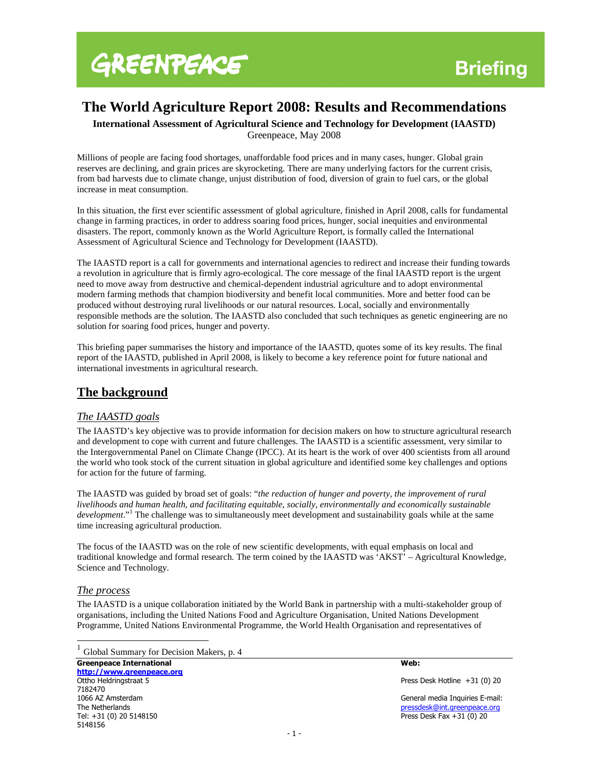# **The World Agriculture Report 2008: Results and Recommendations**

**International Assessment of Agricultural Science and Technology for Development (IAASTD)**  Greenpeace, May 2008

Millions of people are facing food shortages, unaffordable food prices and in many cases, hunger. Global grain reserves are declining, and grain prices are skyrocketing. There are many underlying factors for the current crisis, from bad harvests due to climate change, unjust distribution of food, diversion of grain to fuel cars, or the global increase in meat consumption.

In this situation, the first ever scientific assessment of global agriculture, finished in April 2008, calls for fundamental change in farming practices, in order to address soaring food prices, hunger, social inequities and environmental disasters. The report, commonly known as the World Agriculture Report, is formally called the International Assessment of Agricultural Science and Technology for Development (IAASTD).

The IAASTD report is a call for governments and international agencies to redirect and increase their funding towards a revolution in agriculture that is firmly agro-ecological. The core message of the final IAASTD report is the urgent need to move away from destructive and chemical-dependent industrial agriculture and to adopt environmental modern farming methods that champion biodiversity and benefit local communities. More and better food can be produced without destroying rural livelihoods or our natural resources. Local, socially and environmentally responsible methods are the solution. The IAASTD also concluded that such techniques as genetic engineering are no solution for soaring food prices, hunger and poverty.

This briefing paper summarises the history and importance of the IAASTD, quotes some of its key results. The final report of the IAASTD, published in April 2008, is likely to become a key reference point for future national and international investments in agricultural research.

## **The background**

### *The IAASTD goals*

The IAASTD's key objective was to provide information for decision makers on how to structure agricultural research and development to cope with current and future challenges. The IAASTD is a scientific assessment, very similar to the Intergovernmental Panel on Climate Change (IPCC). At its heart is the work of over 400 scientists from all around the world who took stock of the current situation in global agriculture and identified some key challenges and options for action for the future of farming.

The IAASTD was guided by broad set of goals: "*the reduction of hunger and poverty, the improvement of rural livelihoods and human health, and facilitating equitable, socially, environmentally and economically sustainable*  development."<sup>1</sup> The challenge was to simultaneously meet development and sustainability goals while at the same time increasing agricultural production.

The focus of the IAASTD was on the role of new scientific developments, with equal emphasis on local and traditional knowledge and formal research. The term coined by the IAASTD was 'AKST' – Agricultural Knowledge, Science and Technology.

#### *The process*

 $\overline{a}$ 

The IAASTD is a unique collaboration initiated by the World Bank in partnership with a multi-stakeholder group of organisations, including the United Nations Food and Agriculture Organisation, United Nations Development Programme, United Nations Environmental Programme, the World Health Organisation and representatives of

|  | <sup>1</sup> Global Summary for Decision Makers, p. 4 |  |  |
|--|-------------------------------------------------------|--|--|
|  |                                                       |  |  |

Greenpeace International New York 2012 19:00 12:00 12:00 12:00 12:00 12:00 12:00 12:00 12:00 12:00 12:00 12:00 http://www.greenpeace.org Ottho Heldringstraat 5 **Press Desk Hotline +31 (0) 20** Press Desk Hotline +31 (0) 20 7182470 1066 AZ Amsterdam and the second service of the service of the service of the service of the Service of the Se<br>
1166 AZ Amsterdam General media Inquiries E-mail:<br>
The Netherlands and the service of the Service of the Servi The Netherlands<br>
Tel: +31 (0) 20 5148150<br>
Tel: +31 (0) 20 5148150<br>
Press Desk Fax +31 (0) 20 5148156

Press Desk Fax  $+31$  (0) 20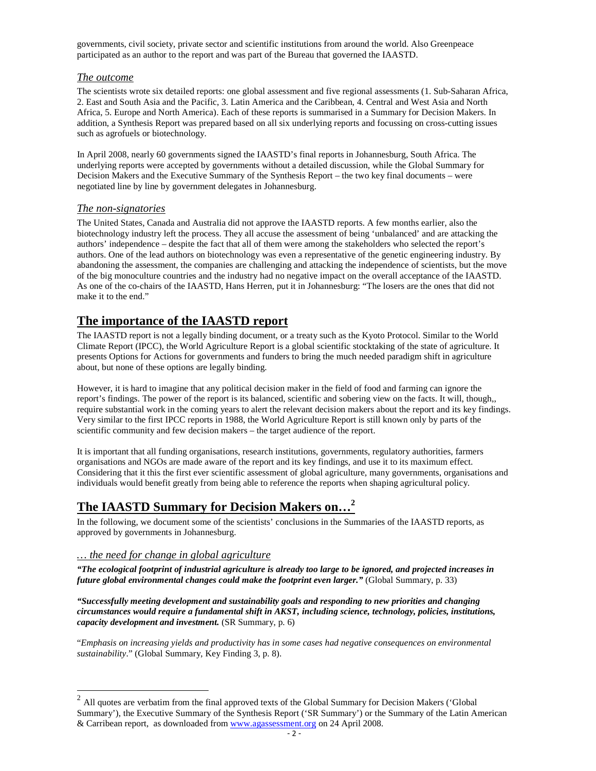governments, civil society, private sector and scientific institutions from around the world. Also Greenpeace participated as an author to the report and was part of the Bureau that governed the IAASTD.

#### *The outcome*

The scientists wrote six detailed reports: one global assessment and five regional assessments (1. Sub-Saharan Africa, 2. East and South Asia and the Pacific, 3. Latin America and the Caribbean, 4. Central and West Asia and North Africa, 5. Europe and North America). Each of these reports is summarised in a Summary for Decision Makers. In addition, a Synthesis Report was prepared based on all six underlying reports and focussing on cross-cutting issues such as agrofuels or biotechnology.

In April 2008, nearly 60 governments signed the IAASTD's final reports in Johannesburg, South Africa. The underlying reports were accepted by governments without a detailed discussion, while the Global Summary for Decision Makers and the Executive Summary of the Synthesis Report – the two key final documents – were negotiated line by line by government delegates in Johannesburg.

#### *The non-signatories*

The United States, Canada and Australia did not approve the IAASTD reports. A few months earlier, also the biotechnology industry left the process. They all accuse the assessment of being 'unbalanced' and are attacking the authors' independence – despite the fact that all of them were among the stakeholders who selected the report's authors. One of the lead authors on biotechnology was even a representative of the genetic engineering industry. By abandoning the assessment, the companies are challenging and attacking the independence of scientists, but the move of the big monoculture countries and the industry had no negative impact on the overall acceptance of the IAASTD. As one of the co-chairs of the IAASTD, Hans Herren, put it in Johannesburg: "The losers are the ones that did not make it to the end."

## **The importance of the IAASTD report**

The IAASTD report is not a legally binding document, or a treaty such as the Kyoto Protocol. Similar to the World Climate Report (IPCC), the World Agriculture Report is a global scientific stocktaking of the state of agriculture. It presents Options for Actions for governments and funders to bring the much needed paradigm shift in agriculture about, but none of these options are legally binding.

However, it is hard to imagine that any political decision maker in the field of food and farming can ignore the report's findings. The power of the report is its balanced, scientific and sobering view on the facts. It will, though,, require substantial work in the coming years to alert the relevant decision makers about the report and its key findings. Very similar to the first IPCC reports in 1988, the World Agriculture Report is still known only by parts of the scientific community and few decision makers – the target audience of the report.

It is important that all funding organisations, research institutions, governments, regulatory authorities, farmers organisations and NGOs are made aware of the report and its key findings, and use it to its maximum effect. Considering that it this the first ever scientific assessment of global agriculture, many governments, organisations and individuals would benefit greatly from being able to reference the reports when shaping agricultural policy.

# **The IAASTD Summary for Decision Makers on…<sup>2</sup>**

In the following, we document some of the scientists' conclusions in the Summaries of the IAASTD reports, as approved by governments in Johannesburg.

#### *… the need for change in global agriculture*

 $\overline{a}$ 

*"The ecological footprint of industrial agriculture is already too large to be ignored, and projected increases in future global environmental changes could make the footprint even larger."* (Global Summary, p. 33)

*"Successfully meeting development and sustainability goals and responding to new priorities and changing circumstances would require a fundamental shift in AKST, including science, technology, policies, institutions, capacity development and investment.* (SR Summary, p. 6)

"*Emphasis on increasing yields and productivity has in some cases had negative consequences on environmental sustainability*." (Global Summary, Key Finding 3, p. 8).

 $2$  All quotes are verbatim from the final approved texts of the Global Summary for Decision Makers ('Global Summary'), the Executive Summary of the Synthesis Report ('SR Summary') or the Summary of the Latin American & Carribean report, as downloaded from www.agassessment.org on 24 April 2008.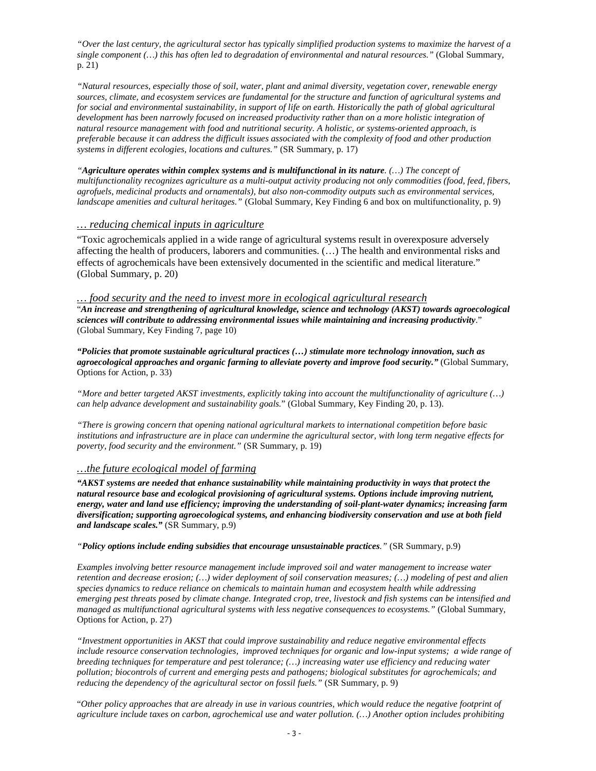*"Over the last century, the agricultural sector has typically simplified production systems to maximize the harvest of a single component (…) this has often led to degradation of environmental and natural resources."* (Global Summary, p. 21)

*"Natural resources, especially those of soil, water, plant and animal diversity, vegetation cover, renewable energy sources, climate, and ecosystem services are fundamental for the structure and function of agricultural systems and for social and environmental sustainability, in support of life on earth. Historically the path of global agricultural development has been narrowly focused on increased productivity rather than on a more holistic integration of natural resource management with food and nutritional security. A holistic, or systems-oriented approach, is preferable because it can address the difficult issues associated with the complexity of food and other production systems in different ecologies, locations and cultures."* (SR Summary, p. 17)

*"Agriculture operates within complex systems and is multifunctional in its nature. (…) The concept of multifunctionality recognizes agriculture as a multi-output activity producing not only commodities (food, feed, fibers, agrofuels, medicinal products and ornamentals), but also non-commodity outputs such as environmental services, landscape amenities and cultural heritages."* (Global Summary, Key Finding 6 and box on multifunctionality, p. 9)

#### *… reducing chemical inputs in agriculture*

"Toxic agrochemicals applied in a wide range of agricultural systems result in overexposure adversely affecting the health of producers, laborers and communities. (…) The health and environmental risks and effects of agrochemicals have been extensively documented in the scientific and medical literature." (Global Summary, p. 20)

### *… food security and the need to invest more in ecological agricultural research*

"*An increase and strengthening of agricultural knowledge, science and technology (AKST) towards agroecological sciences will contribute to addressing environmental issues while maintaining and increasing productivity*." (Global Summary, Key Finding 7, page 10)

*"Policies that promote sustainable agricultural practices (…) stimulate more technology innovation, such as agroecological approaches and organic farming to alleviate poverty and improve food security."* (Global Summary, Options for Action, p. 33)

*"More and better targeted AKST investments, explicitly taking into account the multifunctionality of agriculture (…) can help advance development and sustainability goals.*" (Global Summary, Key Finding 20, p. 13).

*"There is growing concern that opening national agricultural markets to international competition before basic institutions and infrastructure are in place can undermine the agricultural sector, with long term negative effects for poverty, food security and the environment."* (SR Summary, p. 19)

#### *…the future ecological model of farming*

*"AKST systems are needed that enhance sustainability while maintaining productivity in ways that protect the natural resource base and ecological provisioning of agricultural systems. Options include improving nutrient, energy, water and land use efficiency; improving the understanding of soil-plant-water dynamics; increasing farm diversification; supporting agroecological systems, and enhancing biodiversity conservation and use at both field and landscape scales."* (SR Summary, p.9)

*"Policy options include ending subsidies that encourage unsustainable practices."* (SR Summary, p.9)

*Examples involving better resource management include improved soil and water management to increase water retention and decrease erosion; (…) wider deployment of soil conservation measures; (…) modeling of pest and alien species dynamics to reduce reliance on chemicals to maintain human and ecosystem health while addressing emerging pest threats posed by climate change. Integrated crop, tree, livestock and fish systems can be intensified and managed as multifunctional agricultural systems with less negative consequences to ecosystems."* (Global Summary, Options for Action, p. 27)

*"Investment opportunities in AKST that could improve sustainability and reduce negative environmental effects include resource conservation technologies, improved techniques for organic and low-input systems; a wide range of breeding techniques for temperature and pest tolerance; (…) increasing water use efficiency and reducing water pollution; biocontrols of current and emerging pests and pathogens; biological substitutes for agrochemicals; and reducing the dependency of the agricultural sector on fossil fuels."* (SR Summary, p. 9)

"*Other policy approaches that are already in use in various countries, which would reduce the negative footprint of agriculture include taxes on carbon, agrochemical use and water pollution. (…) Another option includes prohibiting*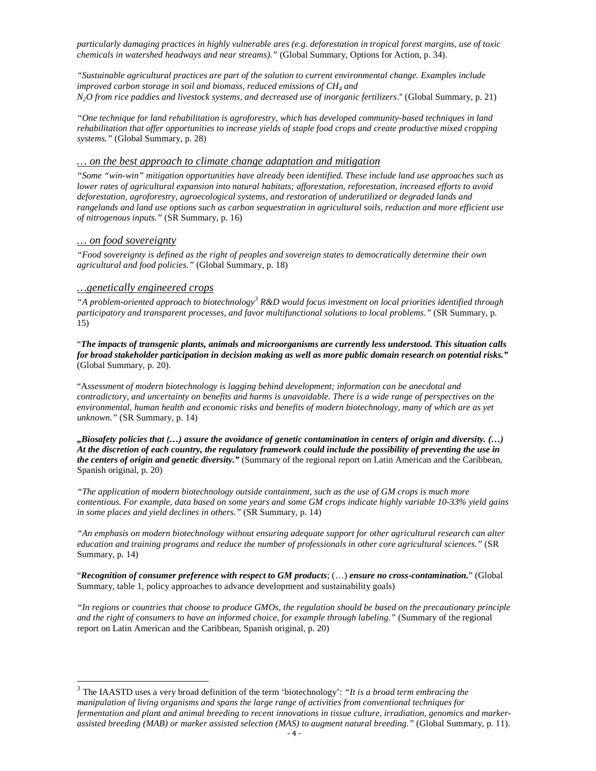*particularly damaging practices in highly vulnerable ares (e.g. deforestation in tropical forest margins, use of toxic chemicals in watershed headways and near streams)."* (Global Summary, Options for Action, p. 34).

*"Sustainable agricultural practices are part of the solution to current environmental change. Examples include improved carbon storage in soil and biomass, reduced emissions of CH<sup>4</sup> and N2O from rice paddies and livestock systems, and decreased use of inorganic fertilizers*." (Global Summary, p. 21)

*"One technique for land rehabilitation is agroforestry, which has developed community-based techniques in land rehabilitation that offer opportunities to increase yields of staple food crops and create productive mixed cropping systems."* (Global Summary, p. 28)

#### *… on the best approach to climate change adaptation and mitigation*

*"Some "win-win" mitigation opportunities have already been identified. These include land use approaches such as lower rates of agricultural expansion into natural habitats; afforestation, reforestation, increased efforts to avoid deforestation, agroforestry, agroecological systems, and restoration of underutilized or degraded lands and rangelands and land use options such as carbon sequestration in agricultural soils, reduction and more efficient use of nitrogenous inputs."* (SR Summary, p. 16)

#### *… on food sovereignty*

-

*"Food sovereignty is defined as the right of peoples and sovereign states to democratically determine their own agricultural and food policies."* (Global Summary, p. 18)

#### *…genetically engineered crops*

"A problem-oriented approach to biotechnology<sup>3</sup> R&D would focus investment on local priorities identified through *participatory and transparent processes, and favor multifunctional solutions to local problems."* (SR Summary, p. 15)

"*The impacts of transgenic plants, animals and microorganisms are currently less understood. This situation calls for broad stakeholder participation in decision making as well as more public domain research on potential risks."* (Global Summary, p. 20).

"A*ssessment of modern biotechnology is lagging behind development; information can be anecdotal and contradictory, and uncertainty on benefits and harms is unavoidable. There is a wide range of perspectives on the environmental, human health and economic risks and benefits of modern biotechnology, many of which are as yet unknown."* (SR Summary, p. 14)

*"Biosafety policies that (…) assure the avoidance of genetic contamination in centers of origin and diversity. (…) At the discretion of each country, the regulatory framework could include the possibility of preventing the use in the centers of origin and genetic diversity."* (Summary of the regional report on Latin American and the Caribbean, Spanish original, p. 20)

*"The application of modern biotechnology outside containment, such as the use of GM crops is much more contentious. For example, data based on some years and some GM crops indicate highly variable 10-33% yield gains in some places and yield declines in others."* (SR Summary, p. 14)

*"An emphasis on modern biotechnology without ensuring adequate support for other agricultural research can alter education and training programs and reduce the number of professionals in other core agricultural sciences."* (SR Summary, p. 14)

"*Recognition of consumer preference with respect to GM products*; (…) *ensure no cross-contamination.*" (Global Summary, table 1, policy approaches to advance development and sustainability goals)

*"In regions or countries that choose to produce GMOs, the regulation should be based on the precautionary principle and the right of consumers to have an informed choice, for example through labeling."* (Summary of the regional report on Latin American and the Caribbean, Spanish original, p. 20)

<sup>3</sup> The IAASTD uses a very broad definition of the term 'biotechnology': *"It is a broad term embracing the manipulation of living organisms and spans the large range of activities from conventional techniques for fermentation and plant and animal breeding to recent innovations in tissue culture, irradiation, genomics and markerassisted breeding (MAB) or marker assisted selection (MAS) to augment natural breeding."* (Global Summary, p. 11).